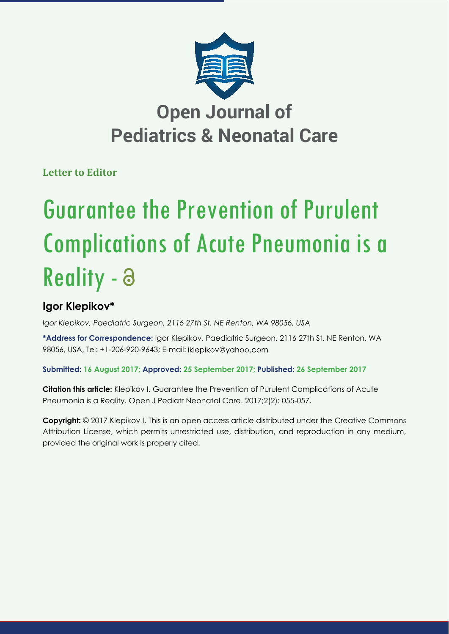

## **Open Journal of Pediatrics & Neonatal Care**

**Letter to Editor**

# Guarantee the Prevention of Purulent Complications of Acute Pneumonia is a Reality - a

### **Igor Klepikov\***

*Igor Klepikov, Paediatric Surgeon, 2116 27th St. NE Renton, WA 98056, USA* 

**\*Address for Correspondence:** Igor Klepikov, Paediatric Surgeon, 2116 27th St. NE Renton, WA 98056, USA, Tel: +1-206-920-9643; E-mail:

**Submitted: 16 August 2017; Approved: 25 September 2017; Published: 26 September 2017**

**Citation this article:** Klepikov I. Guarantee the Prevention of Purulent Complications of Acute Pneumonia is a Reality. Open J Pediatr Neonatal Care. 2017;2(2): 055-057.

**Copyright:** © 2017 Klepikov I. This is an open access article distributed under the Creative Commons Attribution License, which permits unrestricted use, distribution, and reproduction in any medium, provided the original work is properly cited.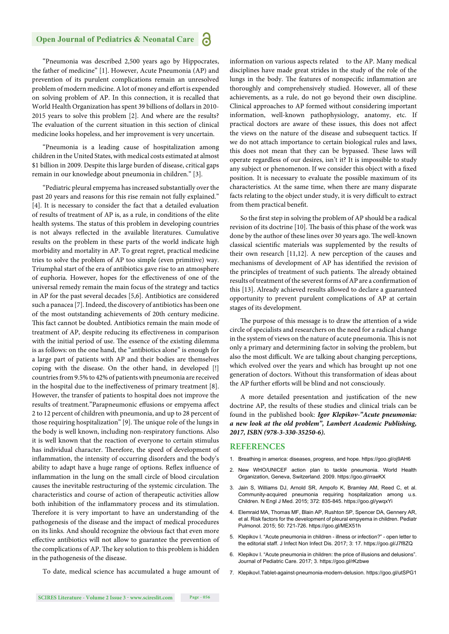#### **Open Journal of Pediatrics & Neonatal Care** Ы

"Pneumonia was described 2,500 years ago by Hippocrates, the father of medicine" [1]. However, Acute Pneumonia (AP) and prevention of its purulent complications remain an unresolved problem of modern medicine. A lot of money and effort is expended on solving problem of AP. In this connection, it is recalled that World Health Organization has spent 39 billions of dollars in 2010- 2015 years to solve this problem [2]. And where are the results? The evaluation of the current situation in this section of clinical medicine looks hopeless, and her improvement is very uncertain.

"Pneumonia is a leading cause of hospitalization among children in the United States, with medical costs estimated at almost \$1 billion in 2009. Despite this large burden of disease, critical gaps remain in our knowledge about pneumonia in children." [3].

"Pediatric pleural empyema has increased substantially over the past 20 years and reasons for this rise remain not fully explained." [4]. It is necessary to consider the fact that a detailed evaluation of results of treatment of AP is, as a rule, in conditions of the elite health systems. The status of this problem in developing countries is not always reflected in the available literatures. Cumulative results on the problem in these parts of the world indicate high morbidity and mortality in AP. To great regret, practical medicine tries to solve the problem of AP too simple (even primitive) way. Triumphal start of the era of antibiotics gave rise to an atmosphere of euphoria. However, hopes for the effectiveness of one of the universal remedy remain the main focus of the strategy and tactics in AP for the past several decades [5,6]. Antibiotics are considered such a panacea [7]. Indeed, the discovery of antibiotics has been one of the most outstanding achievements of 20th century medicine. This fact cannot be doubted. Antibiotics remain the main mode of treatment of AP, despite reducing its effectiveness in comparison with the initial period of use. The essence of the existing dilemma is as follows: on the one hand, the "antibiotics alone" is enough for a large part of patients with AP and their bodies are themselves coping with the disease. On the other hand, in developed [!] countries from 9.5% to 42% of patients with pneumonia are received in the hospital due to the ineffectiveness of primary treatment  $[8]$ . However, the transfer of patients to hospital does not improve the results of treatment."Parapneumonic effusions or empyema affect 2 to 12 percent of children with pneumonia, and up to 28 percent of those requiring hospitalization" [9]. The unique role of the lungs in the body is well known, including non-respiratory functions. Also it is well known that the reaction of everyone to certain stimulus has individual character. Therefore, the speed of development of inflammation, the intensity of occurring disorders and the body's ability to adapt have a huge range of options. Reflex influence of inflammation in the lung on the small circle of blood circulation causes the inevitable restructuring of the systemic circulation. The characteristics and course of action of therapeutic activities allow both inhibition of the inflammatory process and its stimulation. Therefore it is very important to have an understanding of the pathogenesis of the disease and the impact of medical procedures on its links. And should recognize the obvious fact that even more effective antibiotics will not allow to guarantee the prevention of the complications of AP. The key solution to this problem is hidden in the pathogenesis of the disease.

information on various aspects related to the AP. Many medical disciplines have made great strides in the study of the role of the lungs in the body. The features of nonspecific inflammation are thoroughly and comprehensively studied. However, all of these achievements, as a rule, do not go beyond their own discipline. Clinical approaches to AP formed without considering important information, well-known pathophysiology, anatomy, etc. If practical doctors are aware of these issues, this does not affect the views on the nature of the disease and subsequent tactics. If we do not attach importance to certain biological rules and laws, this does not mean that they can be bypassed. These laws will operate regardless of our desires, isn't it? It is impossible to study any subject or phenomenon. If we consider this object with a fixed position. It is necessary to evaluate the possible maximum of its characteristics. At the same time, when there are many disparate facts relating to the object under study, it is very difficult to extract from them practical benefit.

So the first step in solving the problem of AP should be a radical revision of its doctrine [10]. The basis of this phase of the work was done by the author of these lines over 30 years ago. The well-known classical scientific materials was supplemented by the results of their own research [11,12]. A new perception of the causes and mechanisms of development of AP has identified the revision of the principles of treatment of such patients. The already obtained results of treatment of the severest forms of AP are a confirmation of this [13]. Already achieved results allowed to declare a guaranteed opportunity to prevent purulent complications of AP at certain stages of its development.

The purpose of this message is to draw the attention of a wide circle of specialists and researchers on the need for a radical change in the system of views on the nature of acute pneumonia. This is not only a primary and determining factor in solving the problem, but also the most difficult. We are talking about changing perceptions, which evolved over the years and which has brought up not one generation of doctors. Without this transformation of ideas about the AP further efforts will be blind and not consciously.

A more detailed presentation and justification of the new doctrine AP, the results of these studies and clinical trials can be found in the published book: *Igor Klepikov-"Acute pneumonia: a new look at the old problem", Lambert Academic Publishing, 2017, ISBN (978-3-330-35250-6).*

#### **REFERENCES**

- 1. Breathing in america: diseases, progress, and hope. https://goo.gl/oj9AH6
- 2. New WHO/UNICEF action plan to tackle pneumonia. World Health Organization, Geneva, Switzerland. 2009. https://goo.gl/rraeKX
- 3. Jain S, Williams DJ, Arnold SR, Ampofo K, Bramley AM, Reed C, et al. Community-acquired pneumonia requiring hospitalization among u.s. Children. N Engl J Med. 2015; 372: 835-845. https://goo.gl/ywqxYi
- 4. Elemraid MA, Thomas MF, Blain AP, Rushton SP, Spencer DA, Gennery AR, et al. Risk factors for the development of pleural empyema in children. Pediatr Pulmonol. 2015; 50: 721-726. https://goo.gl/MEX51h
- 5. Klepikov I. "Acute pneumonia in children illness or infection?" open letter to the editorial staff. J Infect Non Infect Dis. 2017; 3: 17. https://goo.gl/J7f8ZQ
- 6. Klepikov I. "Acute pneumonia in children: the price of illusions and delusions". Journal of Pediatric Care. 2017; 3. https://goo.gl/rKzbwe
- 7. KlepikovI.Tablet-against-pneumonia-modern-delusion. https://goo.gl/utSPG1

To date, medical science has accumulated a huge amount of